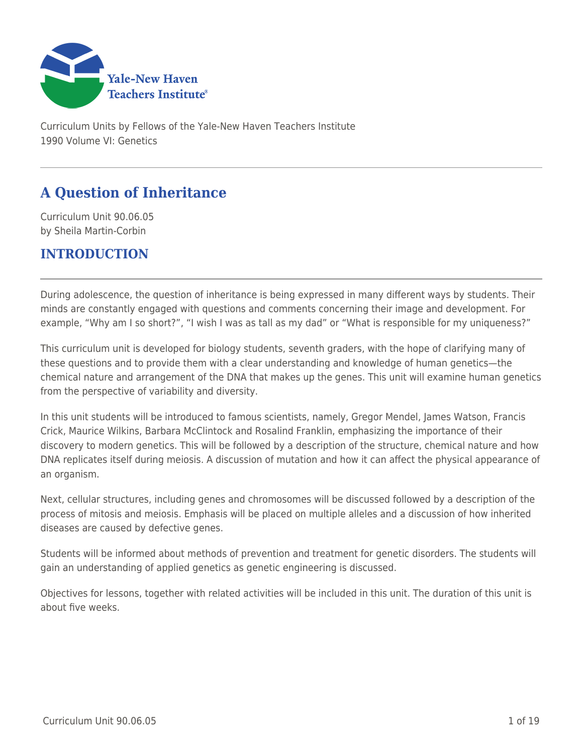

Curriculum Units by Fellows of the Yale-New Haven Teachers Institute 1990 Volume VI: Genetics

# **A Question of Inheritance**

Curriculum Unit 90.06.05 by Sheila Martin-Corbin

# **INTRODUCTION**

During adolescence, the question of inheritance is being expressed in many different ways by students. Their minds are constantly engaged with questions and comments concerning their image and development. For example, "Why am I so short?", "I wish I was as tall as my dad" or "What is responsible for my uniqueness?"

This curriculum unit is developed for biology students, seventh graders, with the hope of clarifying many of these questions and to provide them with a clear understanding and knowledge of human genetics—the chemical nature and arrangement of the DNA that makes up the genes. This unit will examine human genetics from the perspective of variability and diversity.

In this unit students will be introduced to famous scientists, namely, Gregor Mendel, James Watson, Francis Crick, Maurice Wilkins, Barbara McClintock and Rosalind Franklin, emphasizing the importance of their discovery to modern genetics. This will be followed by a description of the structure, chemical nature and how DNA replicates itself during meiosis. A discussion of mutation and how it can affect the physical appearance of an organism.

Next, cellular structures, including genes and chromosomes will be discussed followed by a description of the process of mitosis and meiosis. Emphasis will be placed on multiple alleles and a discussion of how inherited diseases are caused by defective genes.

Students will be informed about methods of prevention and treatment for genetic disorders. The students will gain an understanding of applied genetics as genetic engineering is discussed.

Objectives for lessons, together with related activities will be included in this unit. The duration of this unit is about five weeks.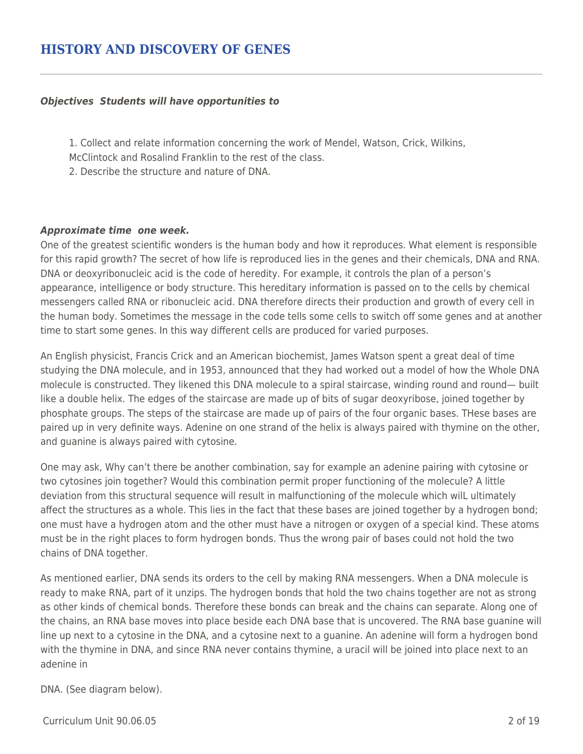#### *Objectives Students will have opportunities to*

- 1. Collect and relate information concerning the work of Mendel, Watson, Crick, Wilkins,
- McClintock and Rosalind Franklin to the rest of the class.
- 2. Describe the structure and nature of DNA.

### *Approximate time one week.*

One of the greatest scientific wonders is the human body and how it reproduces. What element is responsible for this rapid growth? The secret of how life is reproduced lies in the genes and their chemicals, DNA and RNA. DNA or deoxyribonucleic acid is the code of heredity. For example, it controls the plan of a person's appearance, intelligence or body structure. This hereditary information is passed on to the cells by chemical messengers called RNA or ribonucleic acid. DNA therefore directs their production and growth of every cell in the human body. Sometimes the message in the code tells some cells to switch off some genes and at another time to start some genes. In this way different cells are produced for varied purposes.

An English physicist, Francis Crick and an American biochemist, James Watson spent a great deal of time studying the DNA molecule, and in 1953, announced that they had worked out a model of how the Whole DNA molecule is constructed. They likened this DNA molecule to a spiral staircase, winding round and round— built like a double helix. The edges of the staircase are made up of bits of sugar deoxyribose, joined together by phosphate groups. The steps of the staircase are made up of pairs of the four organic bases. THese bases are paired up in very definite ways. Adenine on one strand of the helix is always paired with thymine on the other, and guanine is always paired with cytosine.

One may ask, Why can't there be another combination, say for example an adenine pairing with cytosine or two cytosines join together? Would this combination permit proper functioning of the molecule? A little deviation from this structural sequence will result in malfunctioning of the molecule which wilL ultimately affect the structures as a whole. This lies in the fact that these bases are joined together by a hydrogen bond; one must have a hydrogen atom and the other must have a nitrogen or oxygen of a special kind. These atoms must be in the right places to form hydrogen bonds. Thus the wrong pair of bases could not hold the two chains of DNA together.

As mentioned earlier, DNA sends its orders to the cell by making RNA messengers. When a DNA molecule is ready to make RNA, part of it unzips. The hydrogen bonds that hold the two chains together are not as strong as other kinds of chemical bonds. Therefore these bonds can break and the chains can separate. Along one of the chains, an RNA base moves into place beside each DNA base that is uncovered. The RNA base guanine will line up next to a cytosine in the DNA, and a cytosine next to a guanine. An adenine will form a hydrogen bond with the thymine in DNA, and since RNA never contains thymine, a uracil will be joined into place next to an adenine in

### DNA. (See diagram below).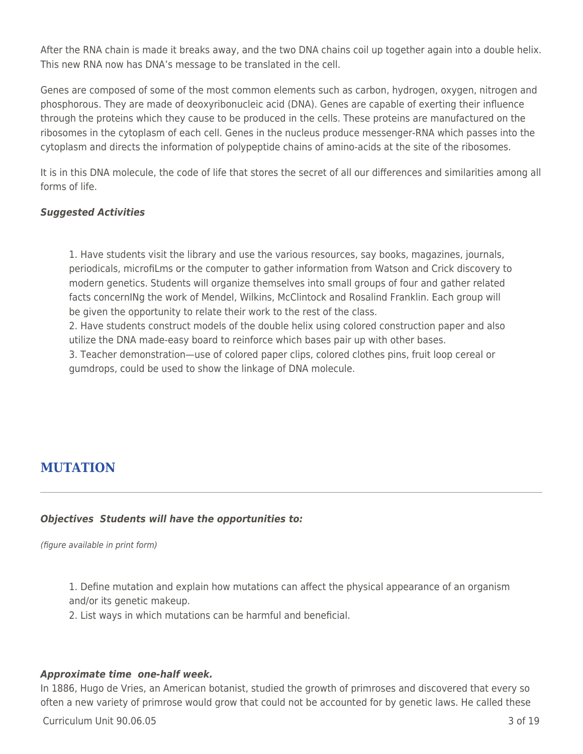After the RNA chain is made it breaks away, and the two DNA chains coil up together again into a double helix. This new RNA now has DNA's message to be translated in the cell.

Genes are composed of some of the most common elements such as carbon, hydrogen, oxygen, nitrogen and phosphorous. They are made of deoxyribonucleic acid (DNA). Genes are capable of exerting their influence through the proteins which they cause to be produced in the cells. These proteins are manufactured on the ribosomes in the cytoplasm of each cell. Genes in the nucleus produce messenger-RNA which passes into the cytoplasm and directs the information of polypeptide chains of amino-acids at the site of the ribosomes.

It is in this DNA molecule, the code of life that stores the secret of all our differences and similarities among all forms of life.

## *Suggested Activities*

1. Have students visit the library and use the various resources, say books, magazines, journals, periodicals, microfiLms or the computer to gather information from Watson and Crick discovery to modern genetics. Students will organize themselves into small groups of four and gather related facts concernINg the work of Mendel, Wilkins, McClintock and Rosalind Franklin. Each group will be given the opportunity to relate their work to the rest of the class.

2. Have students construct models of the double helix using colored construction paper and also utilize the DNA made-easy board to reinforce which bases pair up with other bases.

3. Teacher demonstration—use of colored paper clips, colored clothes pins, fruit loop cereal or gumdrops, could be used to show the linkage of DNA molecule.

# **MUTATION**

## *Objectives Students will have the opportunities to:*

(figure available in print form)

1. Define mutation and explain how mutations can affect the physical appearance of an organism and/or its genetic makeup.

2. List ways in which mutations can be harmful and beneficial.

### *Approximate time one-half week.*

In 1886, Hugo de Vries, an American botanist, studied the growth of primroses and discovered that every so often a new variety of primrose would grow that could not be accounted for by genetic laws. He called these

Curriculum Unit 90.06.05 3 of 19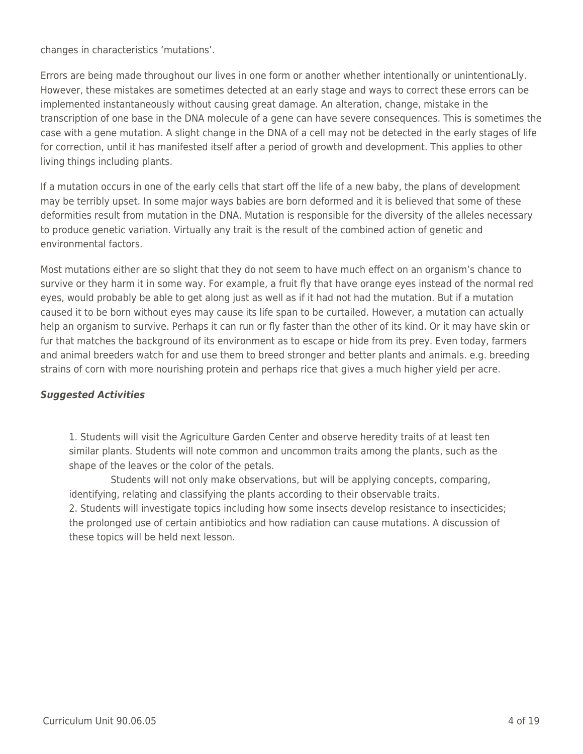changes in characteristics 'mutations'.

Errors are being made throughout our lives in one form or another whether intentionally or unintentionaLly. However, these mistakes are sometimes detected at an early stage and ways to correct these errors can be implemented instantaneously without causing great damage. An alteration, change, mistake in the transcription of one base in the DNA molecule of a gene can have severe consequences. This is sometimes the case with a gene mutation. A slight change in the DNA of a cell may not be detected in the early stages of life for correction, until it has manifested itself after a period of growth and development. This applies to other living things including plants.

If a mutation occurs in one of the early cells that start off the life of a new baby, the plans of development may be terribly upset. In some major ways babies are born deformed and it is believed that some of these deformities result from mutation in the DNA. Mutation is responsible for the diversity of the alleles necessary to produce genetic variation. Virtually any trait is the result of the combined action of genetic and environmental factors.

Most mutations either are so slight that they do not seem to have much effect on an organism's chance to survive or they harm it in some way. For example, a fruit fly that have orange eyes instead of the normal red eyes, would probably be able to get along just as well as if it had not had the mutation. But if a mutation caused it to be born without eyes may cause its life span to be curtailed. However, a mutation can actually help an organism to survive. Perhaps it can run or fly faster than the other of its kind. Or it may have skin or fur that matches the background of its environment as to escape or hide from its prey. Even today, farmers and animal breeders watch for and use them to breed stronger and better plants and animals. e.g. breeding strains of corn with more nourishing protein and perhaps rice that gives a much higher yield per acre.

## *Suggested Activities*

1. Students will visit the Agriculture Garden Center and observe heredity traits of at least ten similar plants. Students will note common and uncommon traits among the plants, such as the shape of the leaves or the color of the petals.

Students will not only make observations, but will be applying concepts, comparing, identifying, relating and classifying the plants according to their observable traits. 2. Students will investigate topics including how some insects develop resistance to insecticides; the prolonged use of certain antibiotics and how radiation can cause mutations. A discussion of these topics will be held next lesson.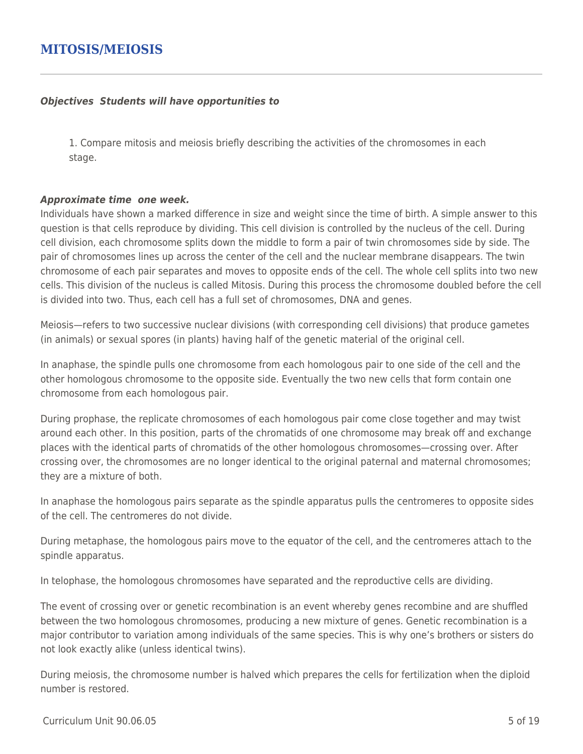## **MITOSIS/MEIOSIS**

#### *Objectives Students will have opportunities to*

1. Compare mitosis and meiosis briefly describing the activities of the chromosomes in each stage.

#### *Approximate time one week.*

Individuals have shown a marked difference in size and weight since the time of birth. A simple answer to this question is that cells reproduce by dividing. This cell division is controlled by the nucleus of the cell. During cell division, each chromosome splits down the middle to form a pair of twin chromosomes side by side. The pair of chromosomes lines up across the center of the cell and the nuclear membrane disappears. The twin chromosome of each pair separates and moves to opposite ends of the cell. The whole cell splits into two new cells. This division of the nucleus is called Mitosis. During this process the chromosome doubled before the cell is divided into two. Thus, each cell has a full set of chromosomes, DNA and genes.

Meiosis—refers to two successive nuclear divisions (with corresponding cell divisions) that produce gametes (in animals) or sexual spores (in plants) having half of the genetic material of the original cell.

In anaphase, the spindle pulls one chromosome from each homologous pair to one side of the cell and the other homologous chromosome to the opposite side. Eventually the two new cells that form contain one chromosome from each homologous pair.

During prophase, the replicate chromosomes of each homologous pair come close together and may twist around each other. In this position, parts of the chromatids of one chromosome may break off and exchange places with the identical parts of chromatids of the other homologous chromosomes—crossing over. After crossing over, the chromosomes are no longer identical to the original paternal and maternal chromosomes; they are a mixture of both.

In anaphase the homologous pairs separate as the spindle apparatus pulls the centromeres to opposite sides of the cell. The centromeres do not divide.

During metaphase, the homologous pairs move to the equator of the cell, and the centromeres attach to the spindle apparatus.

In telophase, the homologous chromosomes have separated and the reproductive cells are dividing.

The event of crossing over or genetic recombination is an event whereby genes recombine and are shuffled between the two homologous chromosomes, producing a new mixture of genes. Genetic recombination is a major contributor to variation among individuals of the same species. This is why one's brothers or sisters do not look exactly alike (unless identical twins).

During meiosis, the chromosome number is halved which prepares the cells for fertilization when the diploid number is restored.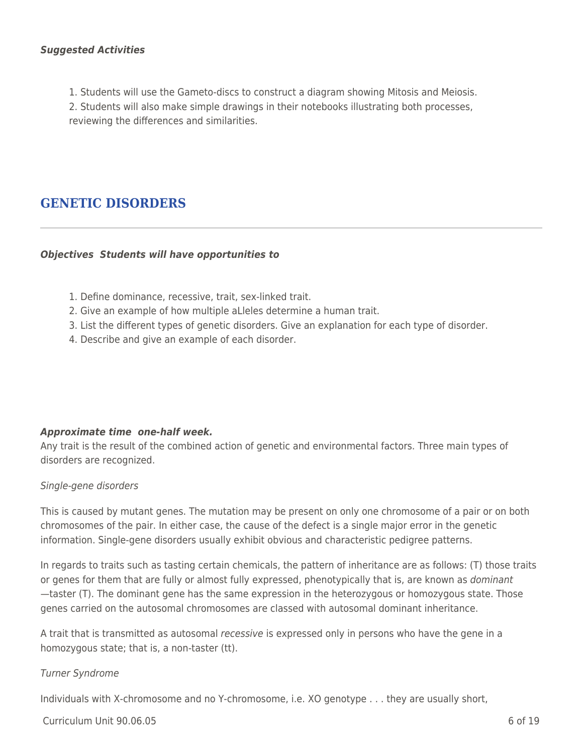### *Suggested Activities*

1. Students will use the Gameto-discs to construct a diagram showing Mitosis and Meiosis.

2. Students will also make simple drawings in their notebooks illustrating both processes, reviewing the differences and similarities.

# **GENETIC DISORDERS**

### *Objectives Students will have opportunities to*

- 1. Define dominance, recessive, trait, sex-linked trait.
- 2. Give an example of how multiple aLleles determine a human trait.
- 3. List the different types of genetic disorders. Give an explanation for each type of disorder.
- 4. Describe and give an example of each disorder.

### *Approximate time one-half week.*

Any trait is the result of the combined action of genetic and environmental factors. Three main types of disorders are recognized.

#### Single-gene disorders

This is caused by mutant genes. The mutation may be present on only one chromosome of a pair or on both chromosomes of the pair. In either case, the cause of the defect is a single major error in the genetic information. Single-gene disorders usually exhibit obvious and characteristic pedigree patterns.

In regards to traits such as tasting certain chemicals, the pattern of inheritance are as follows: (T) those traits or genes for them that are fully or almost fully expressed, phenotypically that is, are known as dominant —taster (T). The dominant gene has the same expression in the heterozygous or homozygous state. Those genes carried on the autosomal chromosomes are classed with autosomal dominant inheritance.

A trait that is transmitted as autosomal recessive is expressed only in persons who have the gene in a homozygous state; that is, a non-taster (tt).

### Turner Syndrome

Individuals with X-chromosome and no Y-chromosome, i.e. XO genotype . . . they are usually short,

 $C$ urriculum Unit 90.06.05  $\qquad \qquad$  6 of 19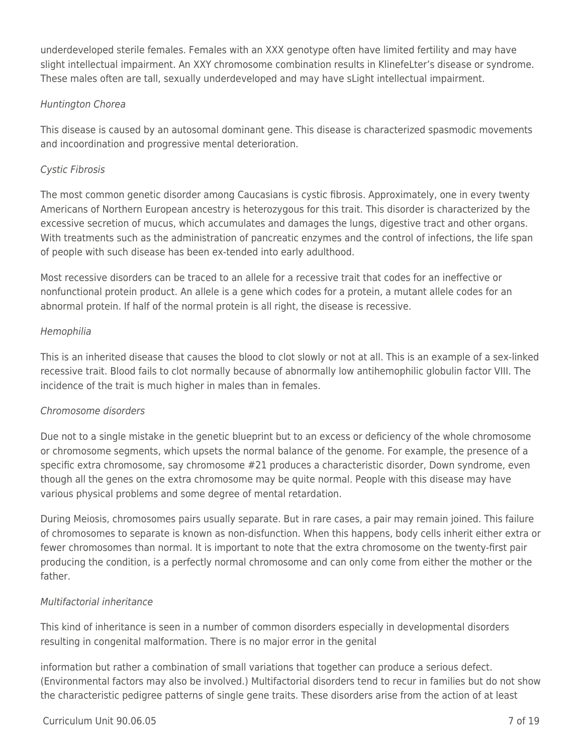underdeveloped sterile females. Females with an XXX genotype often have limited fertility and may have slight intellectual impairment. An XXY chromosome combination results in KlinefeLter's disease or syndrome. These males often are tall, sexually underdeveloped and may have sLight intellectual impairment.

## Huntington Chorea

This disease is caused by an autosomal dominant gene. This disease is characterized spasmodic movements and incoordination and progressive mental deterioration.

## Cystic Fibrosis

The most common genetic disorder among Caucasians is cystic fibrosis. Approximately, one in every twenty Americans of Northern European ancestry is heterozygous for this trait. This disorder is characterized by the excessive secretion of mucus, which accumulates and damages the lungs, digestive tract and other organs. With treatments such as the administration of pancreatic enzymes and the control of infections, the life span of people with such disease has been ex-tended into early adulthood.

Most recessive disorders can be traced to an allele for a recessive trait that codes for an ineffective or nonfunctional protein product. An allele is a gene which codes for a protein, a mutant allele codes for an abnormal protein. If half of the normal protein is all right, the disease is recessive.

## Hemophilia

This is an inherited disease that causes the blood to clot slowly or not at all. This is an example of a sex-linked recessive trait. Blood fails to clot normally because of abnormally low antihemophilic globulin factor VIII. The incidence of the trait is much higher in males than in females.

## Chromosome disorders

Due not to a single mistake in the genetic blueprint but to an excess or deficiency of the whole chromosome or chromosome segments, which upsets the normal balance of the genome. For example, the presence of a specific extra chromosome, say chromosome #21 produces a characteristic disorder, Down syndrome, even though all the genes on the extra chromosome may be quite normal. People with this disease may have various physical problems and some degree of mental retardation.

During Meiosis, chromosomes pairs usually separate. But in rare cases, a pair may remain joined. This failure of chromosomes to separate is known as non-disfunction. When this happens, body cells inherit either extra or fewer chromosomes than normal. It is important to note that the extra chromosome on the twenty-first pair producing the condition, is a perfectly normal chromosome and can only come from either the mother or the father.

## Multifactorial inheritance

This kind of inheritance is seen in a number of common disorders especially in developmental disorders resulting in congenital malformation. There is no major error in the genital

information but rather a combination of small variations that together can produce a serious defect. (Environmental factors may also be involved.) Multifactorial disorders tend to recur in families but do not show the characteristic pedigree patterns of single gene traits. These disorders arise from the action of at least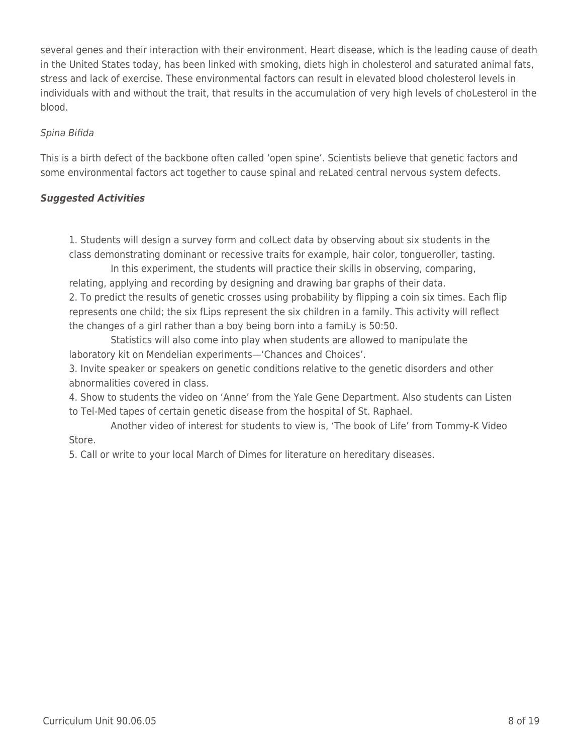several genes and their interaction with their environment. Heart disease, which is the leading cause of death in the United States today, has been linked with smoking, diets high in cholesterol and saturated animal fats, stress and lack of exercise. These environmental factors can result in elevated blood cholesterol levels in individuals with and without the trait, that results in the accumulation of very high levels of choLesterol in the blood.

### Spina Bifida

This is a birth defect of the backbone often called 'open spine'. Scientists believe that genetic factors and some environmental factors act together to cause spinal and reLated central nervous system defects.

### *Suggested Activities*

1. Students will design a survey form and colLect data by observing about six students in the class demonstrating dominant or recessive traits for example, hair color, tongueroller, tasting.

In this experiment, the students will practice their skills in observing, comparing, relating, applying and recording by designing and drawing bar graphs of their data. 2. To predict the results of genetic crosses using probability by flipping a coin six times. Each flip represents one child; the six fLips represent the six children in a family. This activity will reflect the changes of a girl rather than a boy being born into a famiLy is 50:50.

Statistics will also come into play when students are allowed to manipulate the laboratory kit on Mendelian experiments—'Chances and Choices'.

3. Invite speaker or speakers on genetic conditions relative to the genetic disorders and other abnormalities covered in class.

4. Show to students the video on 'Anne' from the Yale Gene Department. Also students can Listen to Tel-Med tapes of certain genetic disease from the hospital of St. Raphael.

Another video of interest for students to view is, 'The book of Life' from Tommy-K Video Store.

5. Call or write to your local March of Dimes for literature on hereditary diseases.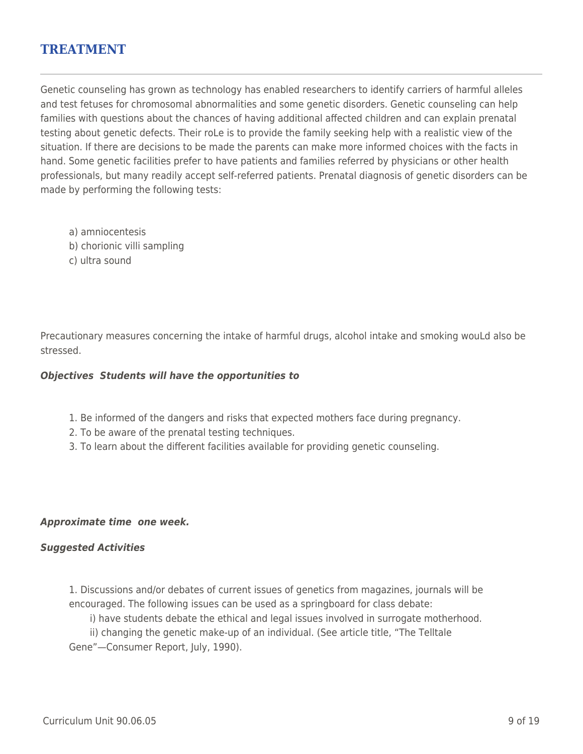## **TREATMENT**

Genetic counseling has grown as technology has enabled researchers to identify carriers of harmful alleles and test fetuses for chromosomal abnormalities and some genetic disorders. Genetic counseling can help families with questions about the chances of having additional affected children and can explain prenatal testing about genetic defects. Their roLe is to provide the family seeking help with a realistic view of the situation. If there are decisions to be made the parents can make more informed choices with the facts in hand. Some genetic facilities prefer to have patients and families referred by physicians or other health professionals, but many readily accept self-referred patients. Prenatal diagnosis of genetic disorders can be made by performing the following tests:

- a) amniocentesis
- b) chorionic villi sampling
- c) ultra sound

Precautionary measures concerning the intake of harmful drugs, alcohol intake and smoking wouLd also be stressed.

#### *Objectives Students will have the opportunities to*

- 1. Be informed of the dangers and risks that expected mothers face during pregnancy.
- 2. To be aware of the prenatal testing techniques.
- 3. To learn about the different facilities available for providing genetic counseling.

#### *Approximate time one week.*

#### *Suggested Activities*

1. Discussions and/or debates of current issues of genetics from magazines, journals will be encouraged. The following issues can be used as a springboard for class debate:

i) have students debate the ethical and legal issues involved in surrogate motherhood. ii) changing the genetic make-up of an individual. (See article title, "The Telltale Gene"—Consumer Report, July, 1990).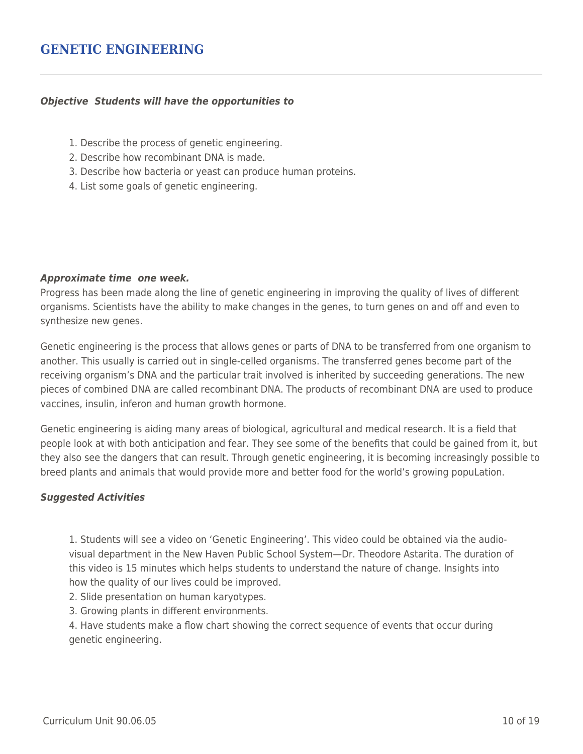## **GENETIC ENGINEERING**

#### *Objective Students will have the opportunities to*

- 1. Describe the process of genetic engineering.
- 2. Describe how recombinant DNA is made.
- 3. Describe how bacteria or yeast can produce human proteins.
- 4. List some goals of genetic engineering.

#### *Approximate time one week.*

Progress has been made along the line of genetic engineering in improving the quality of lives of different organisms. Scientists have the ability to make changes in the genes, to turn genes on and off and even to synthesize new genes.

Genetic engineering is the process that allows genes or parts of DNA to be transferred from one organism to another. This usually is carried out in single-celled organisms. The transferred genes become part of the receiving organism's DNA and the particular trait involved is inherited by succeeding generations. The new pieces of combined DNA are called recombinant DNA. The products of recombinant DNA are used to produce vaccines, insulin, inferon and human growth hormone.

Genetic engineering is aiding many areas of biological, agricultural and medical research. It is a field that people look at with both anticipation and fear. They see some of the benefits that could be gained from it, but they also see the dangers that can result. Through genetic engineering, it is becoming increasingly possible to breed plants and animals that would provide more and better food for the world's growing popuLation.

### *Suggested Activities*

1. Students will see a video on 'Genetic Engineering'. This video could be obtained via the audiovisual department in the New Haven Public School System—Dr. Theodore Astarita. The duration of this video is 15 minutes which helps students to understand the nature of change. Insights into how the quality of our lives could be improved.

- 2. Slide presentation on human karyotypes.
- 3. Growing plants in different environments.

4. Have students make a flow chart showing the correct sequence of events that occur during genetic engineering.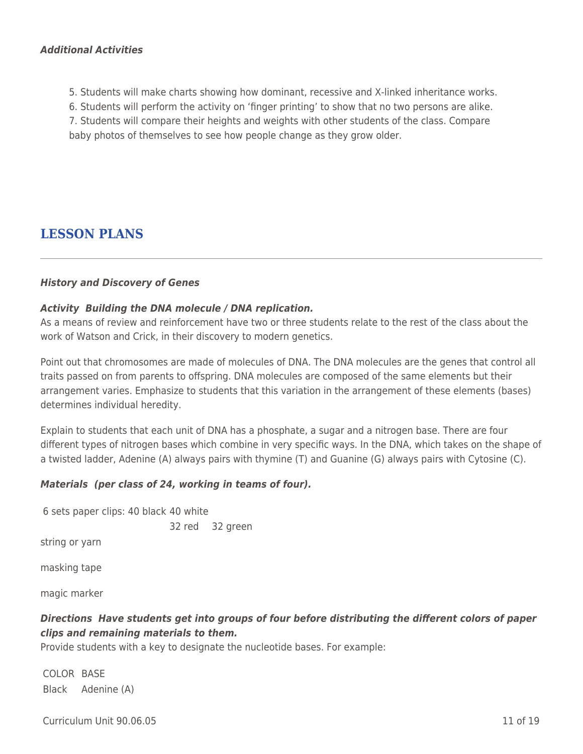### *Additional Activities*

- 5. Students will make charts showing how dominant, recessive and X-linked inheritance works.
- 6. Students will perform the activity on 'finger printing' to show that no two persons are alike.

7. Students will compare their heights and weights with other students of the class. Compare

baby photos of themselves to see how people change as they grow older.

# **LESSON PLANS**

#### *History and Discovery of Genes*

#### *Activity Building the DNA molecule / DNA replication.*

As a means of review and reinforcement have two or three students relate to the rest of the class about the work of Watson and Crick, in their discovery to modern genetics.

Point out that chromosomes are made of molecules of DNA. The DNA molecules are the genes that control all traits passed on from parents to offspring. DNA molecules are composed of the same elements but their arrangement varies. Emphasize to students that this variation in the arrangement of these elements (bases) determines individual heredity.

Explain to students that each unit of DNA has a phosphate, a sugar and a nitrogen base. There are four different types of nitrogen bases which combine in very specific ways. In the DNA, which takes on the shape of a twisted ladder, Adenine (A) always pairs with thymine (T) and Guanine (G) always pairs with Cytosine (C).

### *Materials (per class of 24, working in teams of four).*

| 6 sets paper clips: 40 black 40 white |  |                 |
|---------------------------------------|--|-----------------|
|                                       |  | 32 red 32 green |
| string or yarn                        |  |                 |
| masking tape                          |  |                 |
| magic marker                          |  |                 |
|                                       |  |                 |

## *Directions Have students get into groups of four before distributing the different colors of paper clips and remaining materials to them.*

Provide students with a key to designate the nucleotide bases. For example:

COLOR BASE Black Adenine (A)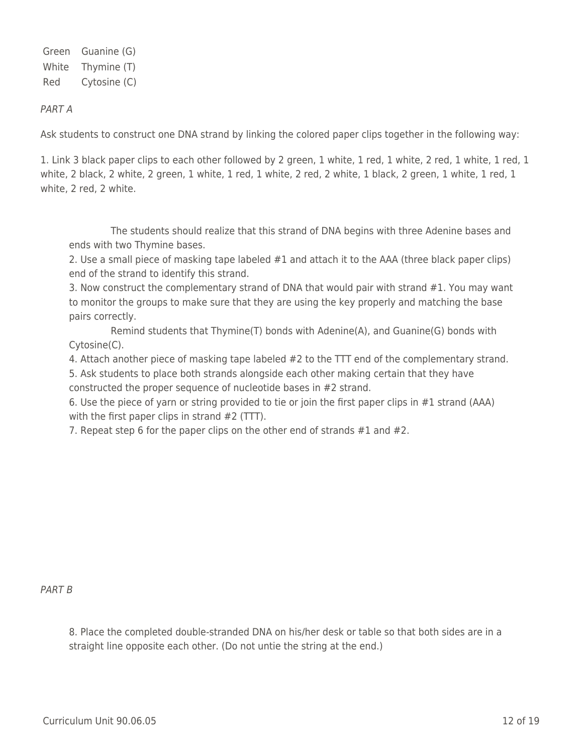Green Guanine (G) White Thymine (T) Red Cytosine (C)

### PART A

Ask students to construct one DNA strand by linking the colored paper clips together in the following way:

1. Link 3 black paper clips to each other followed by 2 green, 1 white, 1 red, 1 white, 2 red, 1 white, 1 red, 1 white, 2 black, 2 white, 2 green, 1 white, 1 red, 1 white, 2 red, 2 white, 1 black, 2 green, 1 white, 1 red, 1 white, 2 red, 2 white.

The students should realize that this strand of DNA begins with three Adenine bases and ends with two Thymine bases.

2. Use a small piece of masking tape labeled #1 and attach it to the AAA (three black paper clips) end of the strand to identify this strand.

3. Now construct the complementary strand of DNA that would pair with strand #1. You may want to monitor the groups to make sure that they are using the key properly and matching the base pairs correctly.

Remind students that Thymine(T) bonds with Adenine(A), and Guanine(G) bonds with Cytosine(C).

4. Attach another piece of masking tape labeled #2 to the TTT end of the complementary strand.

5. Ask students to place both strands alongside each other making certain that they have constructed the proper sequence of nucleotide bases in #2 strand.

6. Use the piece of yarn or string provided to tie or join the first paper clips in #1 strand (AAA) with the first paper clips in strand  $#2$  (TTT).

7. Repeat step 6 for the paper clips on the other end of strands #1 and #2.

### PART B

8. Place the completed double-stranded DNA on his/her desk or table so that both sides are in a straight line opposite each other. (Do not untie the string at the end.)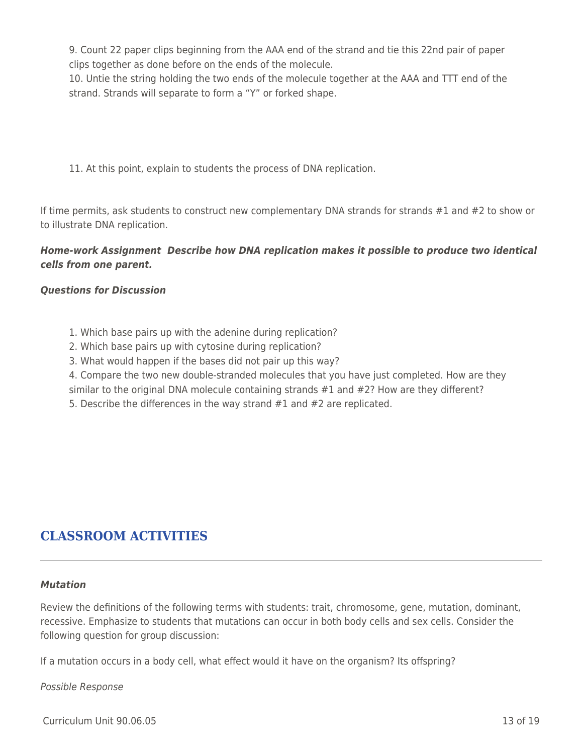9. Count 22 paper clips beginning from the AAA end of the strand and tie this 22nd pair of paper clips together as done before on the ends of the molecule.

10. Untie the string holding the two ends of the molecule together at the AAA and TTT end of the strand. Strands will separate to form a "Y" or forked shape.

11. At this point, explain to students the process of DNA replication.

If time permits, ask students to construct new complementary DNA strands for strands #1 and #2 to show or to illustrate DNA replication.

## *Home-work Assignment Describe how DNA replication makes it possible to produce two identical cells from one parent.*

### *Questions for Discussion*

- 1. Which base pairs up with the adenine during replication?
- 2. Which base pairs up with cytosine during replication?
- 3. What would happen if the bases did not pair up this way?
- 4. Compare the two new double-stranded molecules that you have just completed. How are they
- similar to the original DNA molecule containing strands #1 and #2? How are they different?
- 5. Describe the differences in the way strand #1 and #2 are replicated.

# **CLASSROOM ACTIVITIES**

#### *Mutation*

Review the definitions of the following terms with students: trait, chromosome, gene, mutation, dominant, recessive. Emphasize to students that mutations can occur in both body cells and sex cells. Consider the following question for group discussion:

If a mutation occurs in a body cell, what effect would it have on the organism? Its offspring?

### Possible Response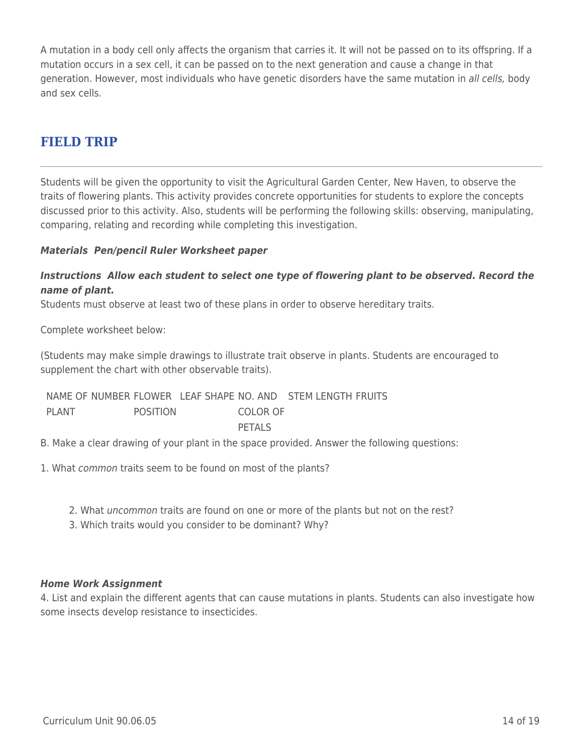A mutation in a body cell only affects the organism that carries it. It will not be passed on to its offspring. If a mutation occurs in a sex cell, it can be passed on to the next generation and cause a change in that generation. However, most individuals who have genetic disorders have the same mutation in all cells, body and sex cells.

# **FIELD TRIP**

Students will be given the opportunity to visit the Agricultural Garden Center, New Haven, to observe the traits of flowering plants. This activity provides concrete opportunities for students to explore the concepts discussed prior to this activity. Also, students will be performing the following skills: observing, manipulating, comparing, relating and recording while completing this investigation.

### *Materials Pen/pencil Ruler Worksheet paper*

### *Instructions Allow each student to select one type of flowering plant to be observed. Record the name of plant.*

Students must observe at least two of these plans in order to observe hereditary traits.

Complete worksheet below:

(Students may make simple drawings to illustrate trait observe in plants. Students are encouraged to supplement the chart with other observable traits).

NAME OF NUMBER FLOWER LEAF SHAPE NO. AND STEM LENGTH FRUITS PLANT POSITION COLOR OF PFTAL<sub>S</sub>

B. Make a clear drawing of your plant in the space provided. Answer the following questions:

1. What common traits seem to be found on most of the plants?

- 2. What uncommon traits are found on one or more of the plants but not on the rest?
- 3. Which traits would you consider to be dominant? Why?

### *Home Work Assignment*

4. List and explain the different agents that can cause mutations in plants. Students can also investigate how some insects develop resistance to insecticides.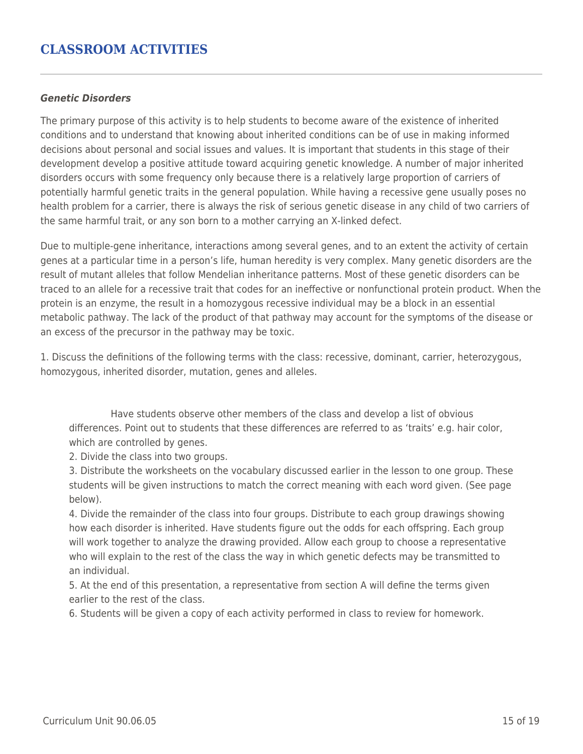# **CLASSROOM ACTIVITIES**

#### *Genetic Disorders*

The primary purpose of this activity is to help students to become aware of the existence of inherited conditions and to understand that knowing about inherited conditions can be of use in making informed decisions about personal and social issues and values. It is important that students in this stage of their development develop a positive attitude toward acquiring genetic knowledge. A number of major inherited disorders occurs with some frequency only because there is a relatively large proportion of carriers of potentially harmful genetic traits in the general population. While having a recessive gene usually poses no health problem for a carrier, there is always the risk of serious genetic disease in any child of two carriers of the same harmful trait, or any son born to a mother carrying an X-linked defect.

Due to multiple-gene inheritance, interactions among several genes, and to an extent the activity of certain genes at a particular time in a person's life, human heredity is very complex. Many genetic disorders are the result of mutant alleles that follow Mendelian inheritance patterns. Most of these genetic disorders can be traced to an allele for a recessive trait that codes for an ineffective or nonfunctional protein product. When the protein is an enzyme, the result in a homozygous recessive individual may be a block in an essential metabolic pathway. The lack of the product of that pathway may account for the symptoms of the disease or an excess of the precursor in the pathway may be toxic.

1. Discuss the definitions of the following terms with the class: recessive, dominant, carrier, heterozygous, homozygous, inherited disorder, mutation, genes and alleles.

Have students observe other members of the class and develop a list of obvious differences. Point out to students that these differences are referred to as 'traits' e.g. hair color, which are controlled by genes.

2. Divide the class into two groups.

3. Distribute the worksheets on the vocabulary discussed earlier in the lesson to one group. These students will be given instructions to match the correct meaning with each word given. (See page below).

4. Divide the remainder of the class into four groups. Distribute to each group drawings showing how each disorder is inherited. Have students figure out the odds for each offspring. Each group will work together to analyze the drawing provided. Allow each group to choose a representative who will explain to the rest of the class the way in which genetic defects may be transmitted to an individual.

5. At the end of this presentation, a representative from section A will define the terms given earlier to the rest of the class.

6. Students will be given a copy of each activity performed in class to review for homework.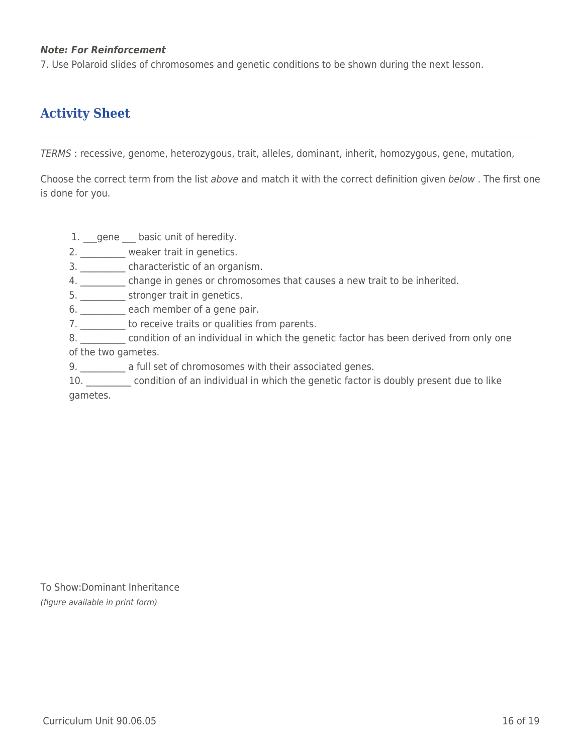### *Note: For Reinforcement*

7. Use Polaroid slides of chromosomes and genetic conditions to be shown during the next lesson.

# **Activity Sheet**

TERMS : recessive, genome, heterozygous, trait, alleles, dominant, inherit, homozygous, gene, mutation,

Choose the correct term from the list above and match it with the correct definition given below . The first one is done for you.

1. gene basic unit of heredity.

2. weaker trait in genetics.

- 3. \_\_\_\_\_\_\_\_\_\_ characteristic of an organism.
- 4. \_\_\_\_\_\_\_\_\_\_ change in genes or chromosomes that causes a new trait to be inherited.
- 5. \_\_\_\_\_\_\_\_\_\_ stronger trait in genetics.
- 6. \_\_\_\_\_\_\_\_\_ each member of a gene pair.
- 7. \_\_\_\_\_\_\_\_\_ to receive traits or qualities from parents.
- 8. **Example 20 condition of an individual in which the genetic factor has been derived from only one** of the two gametes.
- 9. **\_\_\_\_\_\_\_\_\_\_** a full set of chromosomes with their associated genes.
- 10. **Example 20.** Condition of an individual in which the genetic factor is doubly present due to like gametes.

To Show:Dominant Inheritance (figure available in print form)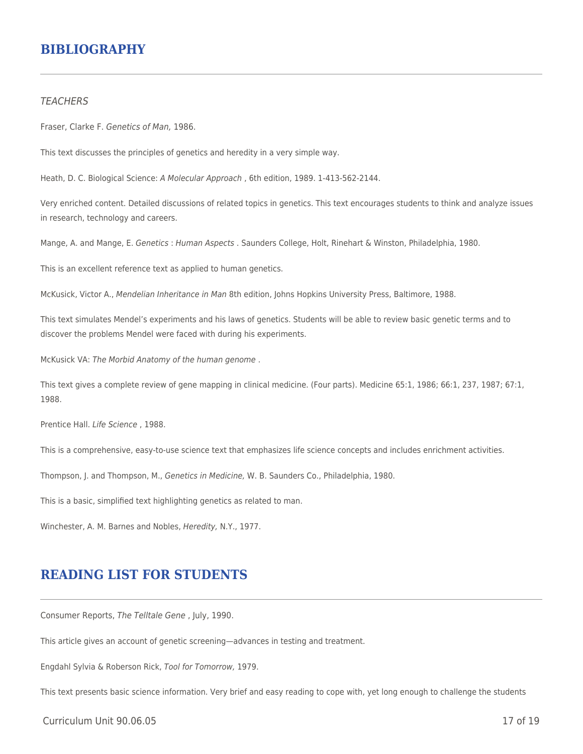## **BIBLIOGRAPHY**

#### **TEACHERS**

Fraser, Clarke F. Genetics of Man, 1986.

This text discusses the principles of genetics and heredity in a very simple way.

Heath, D. C. Biological Science: A Molecular Approach , 6th edition, 1989. 1-413-562-2144.

Very enriched content. Detailed discussions of related topics in genetics. This text encourages students to think and analyze issues in research, technology and careers.

Mange, A. and Mange, E. Genetics : Human Aspects . Saunders College, Holt, Rinehart & Winston, Philadelphia, 1980.

This is an excellent reference text as applied to human genetics.

McKusick, Victor A., Mendelian Inheritance in Man 8th edition, Johns Hopkins University Press, Baltimore, 1988.

This text simulates Mendel's experiments and his laws of genetics. Students will be able to review basic genetic terms and to discover the problems Mendel were faced with during his experiments.

McKusick VA: The Morbid Anatomy of the human genome .

This text gives a complete review of gene mapping in clinical medicine. (Four parts). Medicine 65:1, 1986; 66:1, 237, 1987; 67:1, 1988.

Prentice Hall. Life Science , 1988.

This is a comprehensive, easy-to-use science text that emphasizes life science concepts and includes enrichment activities.

Thompson, J. and Thompson, M., Genetics in Medicine, W. B. Saunders Co., Philadelphia, 1980.

This is a basic, simplified text highlighting genetics as related to man.

Winchester, A. M. Barnes and Nobles, Heredity, N.Y., 1977.

# **READING LIST FOR STUDENTS**

Consumer Reports, The Telltale Gene , July, 1990.

This article gives an account of genetic screening—advances in testing and treatment.

Engdahl Sylvia & Roberson Rick, Tool for Tomorrow, 1979.

This text presents basic science information. Very brief and easy reading to cope with, yet long enough to challenge the students

Curriculum Unit 90.06.05 17 of 19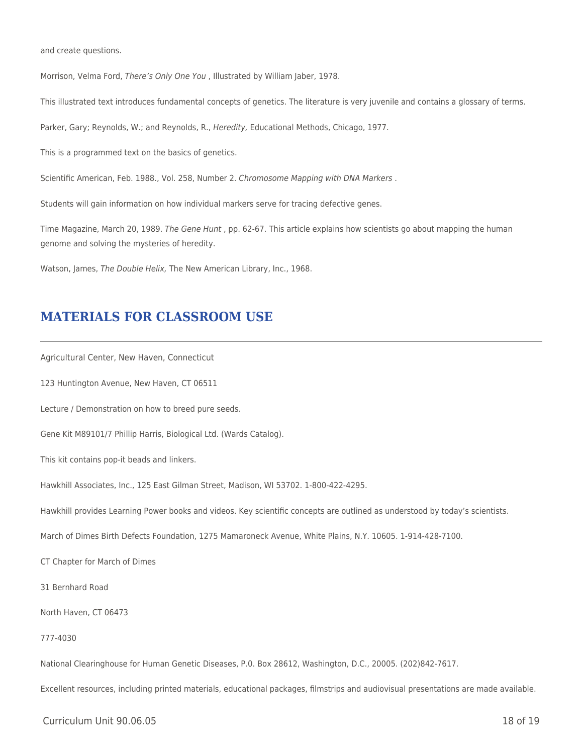and create questions.

Morrison, Velma Ford, There's Only One You , Illustrated by William Jaber, 1978.

This illustrated text introduces fundamental concepts of genetics. The literature is very juvenile and contains a glossary of terms.

Parker, Gary; Reynolds, W.; and Reynolds, R., Heredity, Educational Methods, Chicago, 1977.

This is a programmed text on the basics of genetics.

Scientific American, Feb. 1988., Vol. 258, Number 2. Chromosome Mapping with DNA Markers .

Students will gain information on how individual markers serve for tracing defective genes.

Time Magazine, March 20, 1989. The Gene Hunt, pp. 62-67. This article explains how scientists go about mapping the human genome and solving the mysteries of heredity.

Watson, James, The Double Helix, The New American Library, Inc., 1968.

## **MATERIALS FOR CLASSROOM USE**

Agricultural Center, New Haven, Connecticut

123 Huntington Avenue, New Haven, CT 06511

Lecture / Demonstration on how to breed pure seeds.

Gene Kit M89101/7 Phillip Harris, Biological Ltd. (Wards Catalog).

This kit contains pop-it beads and linkers.

Hawkhill Associates, Inc., 125 East Gilman Street, Madison, WI 53702. 1-800-422-4295.

Hawkhill provides Learning Power books and videos. Key scientific concepts are outlined as understood by today's scientists.

March of Dimes Birth Defects Foundation, 1275 Mamaroneck Avenue, White Plains, N.Y. 10605. 1-914-428-7100.

CT Chapter for March of Dimes

31 Bernhard Road

North Haven, CT 06473

#### 777-4030

National Clearinghouse for Human Genetic Diseases, P.0. Box 28612, Washington, D.C., 20005. (202)842-7617.

Excellent resources, including printed materials, educational packages, filmstrips and audiovisual presentations are made available.

 $C$ urriculum Unit 90.06.05  $\qquad$  18 of 19